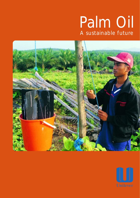# Palm Oil A sustainable future



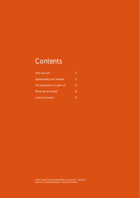# **Contents**

| Who are we?                 |   |
|-----------------------------|---|
| Sustainability and Unilever | 2 |
| The importance of palm oil  | 4 |
| What are we doing?          | 6 |
| Looking forward             | 8 |

Front cover: Putting sustainability into practice – catching pests on a Unilever plantation using pheromones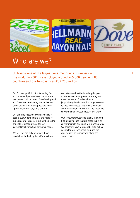

### Who are we?

Unilever is one of the largest consumer goods businesses in the world. In 2001, we employed around 265,000 people in 80 countries and our turnover was  $\epsilon$ 52 206 million.

Our focused portfolio of outstanding food and home and personal care brands are on sale in over 150 countries. Flora/Becel spread and Dove soap are among market leaders. Other brands with wide appeal are Knorr, Lipton, Magnum, Lux, Omo and Cif.

Our aim is to meet the everyday needs of people everywhere. This is at the heart of our Corporate Purpose, which embodies the principle of creating value for our stakeholders by meeting consumer needs.

We feel this can only be achieved and maintained in the long term if our actions

are determined by the broader principles of sustainable development: ensuring we meet the needs of today without jeopardising the ability of future generations to meet their needs. This means we must align our economic goals with the social and environmental consequences of our work.

Our consumers trust us to supply them with high-quality goods that are produced in an environmentally and socially responsible way. We therefore have a responsibility to act as agents for our consumers, ensuring their expectations are understood along the supply chain.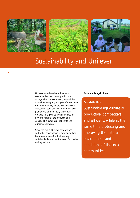





## Sustainability and Unilever

Unilever relies heavily on the natural raw materials used in our products, such as vegetable oils, vegetables, tea and fish. As well as being major buyers of these items on world markets, we are also involved in agriculture, both directly, through our own plantations, and indirectly, via contract growers. This gives us some influence on how the materials are produced and considerable social responsibility to use our influence wisely.

Since the mid-1990s, we have worked with other stakeholders in developing longterm programmes for the three key sustainable development areas of fish, water and agriculture.

#### **Sustainable agriculture**

#### **Our definition**

Sustainable agriculture is productive, competitive and efficient, while at the same time protecting and improving the natural environment and conditions of the local communities.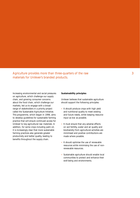Agriculture provides more than three-quarters of the raw materials for Unilever's branded products.

Increasing environmental and social pressures on agriculture, which challenge our supply chain, and growing consumer concerns about the food chain, which challenge our markets, led us to engage with a broad range of stakeholders in a priority project called the Sustainable Agriculture Initiative. This programme, which began in 1998, aims to develop guidelines for sustainable farming practice that will ensure continued access for Unilever to key agricultural raw materials. In addition, for some crops including palm oil, it is increasingly clear that more sustainable farming practices also generate greater productivity and better quality, leading to benefits throughout the supply chain.

#### **Sustainability principles**

Unilever believes that sustainable agriculture should support the following principles:

- It should produce crops with high yield and nutritional quality to meet existing and future needs, while keeping resource input as low as possible.
- It must ensure that any adverse effects on soil fertility, water and air quality and biodiversity from agricultural activities are minimised and positive contributions are made where possible.
- It should optimise the use of renewable resources while minimising the use of nonrenewable resources.
- Sustainable agriculture should enable local communities to protect and enhance their well-being and environments.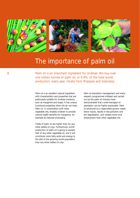

### The importance of palm oil

Palm oil is an important ingredient for Unilever. We buy over one million tonnes of palm oil, or 6-8% of the total world production, every year, mostly from Malaysia and Indonesia.

Palm oil is an excellent natural ingredient, Palm oil plantation management and many with characteristics and properties that are research programmes initiated and carried particularly suitable for Unilever products, out by the palm oil industry have such as margarine and soaps. It has unique demonstrated that a well-managed oil functional properties other oils do not have. plantation can be highly sustainable. Palm Palm oil, in combination with other oil produced by a responsible grower needs vegetable oils, enables Unilever to provide fewer inputs, results in less pollution and natural health benefits for margarine, for soil degradation, and creates more rural example by reduced processing. employment than other vegetable oils.

Yields of palm oil are higher than for any other edible oil crop. Furthermore, world production of palm oil is going to exceed that of any other vegetable oil, and it will contribute more fatty acids and energy to the diet of the growing world population than any other edible oil crop.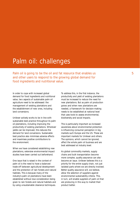### Palm oil: challenges

Palm oil is going to be the oil and fat resource that enables us and other users to respond to the growing global demand for food ingredients and nutritional value.

In order to cope with increased global demand for food ingredients and nutritional value, two aspects of sustainable palm oil agriculture need to be addressed: the management of existing plantations and the establishment of new ones, including land conversions.

Unilever actively works to be in line with sustainable best practice throughout its palm oil plantations, including improving the productivity of existing plantations. Wherever yields can be improved, this reduces the demand for land conversions. Sustainable best practice also minimises adverse effects and maximises positive contributions to the environment.

When we have considered establishing new plantations, extensive environmental impact studies have been carried out beforehand.

One issue that is raised in the context of palm oil is the need to have a balanced trade-off between agricultural development and the protection of rain forests and natural habitats. This is because many of the industry's palm oil plantations have been established without due consideration being given to rain forests and natural habitats and by using unsustainable clearance techniques.

To address this, in the first instance, the productivity and yield of existing plantations must be increased to reduce the need for new plantations. But as palm oil production grows and when new plantations are needed, a framework for decision-making needs to be established at national level that uses tools to assess environmental, biodiversity and social impacts.

This is particularly important as increased awareness about environmental protection is influencing consumer perception in big markets such Europe and the US. These are important markets for Unilever and others. The opinions, which cannot be ignored, affect the whole palm oil business and are best addressed at industry level.

As global commodity markets, supply chains and bulk transportation become more complex, quality assurance can also become an issue. Unilever believes this is a priority for the entire supply chain, not just isolated parts where we are directly involved. Better quality assurance will, we believe, allow the selection of suppliers against environmental sustainability criteria. This, in turn, will enable suppliers of palm oil that are producing in this way to market their product better.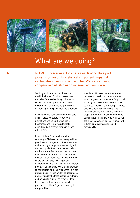





### What are we doing?

In 1998, Unilever established sustainable agriculture pilot projects for five of its strategically important crops: palm oil; tomatoes; peas; spinach; and tea. We are also doing comparable desk studies on rapeseed and sunflower.

established a set of indicators (see table taskforce to develop a more transparent covers the three aspects of sustainable including contracts, specifications, quality economic progress; and social development. practice criteria for plantations. This

benchmark and improve sustainable industry on quality assurance and agriculture best practice for palm oil and sustainability. other crops.

Pamol, Unilever's palm oil plantation company in Malaysia, follows accepted best practices for management of its operations and is striving to improve sustainability still further. Liquid effluent from its two mills is used as a water feed and fertiliser for trees, reducing the amount of synthetic nutrients needed. Leguminous ground cover is grown to prevent soil loss, fix nitrogen and encourage beneficial insects that are natural predators of tree pests. Owls are encouraged to control rats, and empty bunches from the mills and palm fronds are left to decompose naturally under the trees, providing nutrients and helping to curb weed growth. Steep hillsides are left as natural forest, which provides a wildlife refuge, and hunting is not permitted.

Working with other stakeholders, we In addition, Unilever has formed a small opposite) for sustainable agriculture that sourcing system and standards for palm oil, development: environmental protection; assurance – tracking and tracing – and best taskforce aims to work more closely with Since 1998, we have been measuring data suppliers who are able and committed to against these indicators on our own deliver these criteria and who we also hope plantations and using the findings to share our enthusiasm to see progress in the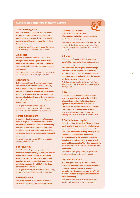#### **Sustainable agriculture indicator clusters**

#### **1 Soil fertility/health**

**Soil is an absolute fundamental to agricultural systems. A rich soil ecosystem improves the performance of crops and livestock. Sustainable agriculture practices can improve the quality of the soil's ecosystem.** 

*Typical measurement parameters include: the number of beneficial organisms and soil organic carbon.* 

#### **2 Soil loss**

**Erosion by wind and water can lead to soil losing its structure and organic matter, which reduces the main asset of the agricultural system. Sustainable agriculture practices work to reduce soil erosion.** 

*Typical parameters include: soil cover index (percentage of time the soil is covered by crop), soil erosion.* 

#### **3 Nutrients**

**Both crops and livestock need a broad balance of nutrients. Some of these, such as nitrogen, can be created locally but others have to be brought in from other sources. Nutrients are lost through activities such as cropping, erosion and emissions to air. Sustainable agriculture practices can enhance locally produced nutrients and reduce losses.** 

*Typical parameters: amount of inorganic nitrogen/phosphate/ potassium applied, balance of nitrogen/phosphate/potassium over crop rotations.* 

#### **4 Pest management**

**A small but significant proportion of pesticides used on crops and livestock can escape to the environment, harming wildlife and accumulating in foods. Sustainable agriculture practices can substitute natural controls for some pesticides, so reducing dependence on externally introduced substances.** 

*Typical parameters: amount and type of pesticides (active ingredient) applied.* 

#### **5 Biodiversity**

**Agriculture has shaped many ecosystems in the world, and the diversity of biological systems (biodiversity) can be improved or reduced by agricultural practices. Sustainable agricultural practices can help improve biodiversity. It can do this by "greening the middle" of the fields as well as "greening the edge".** 

*Typical parameters include: level of biodiversity on site, habitat for natural predators, cross-boundary effects.* 

#### **6 Product value**

**This is the measure of the desired outputs of an agricultural system. Sustainable agriculture**  **practices should be able to maintain or improve the value** 

**of the product and reduce wastage between the field and processing.** 

*Typical parameters include: total value of the produce per ha, nutritional value (including minerals), ratio of solid waste re-used/recycled to solid waste disposed to landfill.* 

#### **7 Energy**

**Energy in the form of sunlight is absolutely essential to plants and animals, but agriculture also uses energy from non-renewable sources, such as tractors for ploughing and the energy needed to make agrichemicals. Sustainable agriculture can improve the balance of energy inputs and outputs, and ensure that the process produces more energy than it uses.** 

*Typical parameters include: total energy input/total energy output, ratio of renewable to non-renewable energy inputs.* 

#### **8 Water**

**Some farming techniques require irrigation and other practices can lead to the pollution of ground and surface waters. Sustainable agriculture practices ensure that water is conserved and possible pollutants are carefully controlled to reduce the risks of pollution.** 

*Typical parameters are: amount of water used, leaching and run-off of nutrients to surface waters.* 

#### **9 Social/human capital**

**Collective action, the sharing of knowledge and the intensity of local social networks help ensure that natural resources are conserved for future use. Some conventional farming techniques have undermined local networks and located knowledge outside the farming communities. Sustainable agriculture works to improve both social and human capital. The prime responsibility for their livelihoods should remain with the local community.** 

*Typical parameters: group dynamics/organisational density of rural community, rate of innovation.* 

#### **10 Local economy**

**Sourcing agricultural inputs (such as goods, labour and services) locally helps to sustain local businesses and livelihoods. Sustainable agriculture practices make the best use of local resources and help to improve the efficiency of the local economy.** 

*Typical parameters: amount of money/profit spent locally, employment level in the local community.* 

7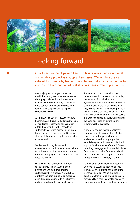





# Looking forward

Quality assurance of palm oil and Unilever's related environmental sustainability project is a supply chain issue. We aim to act as a catalyst for change by leading this initiative, but much change has to occur with third parties. All stakeholders have a role to play in this.

As a major palm oil buyer, we aim to establish a quality assurance system across the supply chain, which will provide the industry with the opportunity to establish good controls and enable the selection of raw material suppliers against agreed sustainability criteria.

An industry-led Code of Practice needs to be introduced. This should address the issue of rain forest conservation for plantation establishment and all other aspects of sustainable plantation management. In order for a Code of Practice to be credible, it is vital that it is supported by the whole palm oil community.

We believe that regulations and enforcement, and stricter requirements both from financiers and governments, are also essential in helping to curb unnecessary rain forest destruction.

Unilever will actively work with others to increase yields on existing palm oil plantations and to further improve sustainability best practice. We will share our learnings from our palm oil sustainable agriculture programme with all interested parties, including other palm oil buyers.

The local producers, plantations, and those involved in processing, can all enjoy the benefits of sustainable palm oil agriculture. When these parties are able to deliver against mutually agreed standards, they will be creating value-added products that can be sold at attractive prices, under long-term arrangements with major buyers. The expected efficiency gains will mean that the additional costs of setting up this initiative will be recouped.

Many local and international voluntary non-governmental organisations (NGOs) have an interest in palm oil from an environmental and social perspective, especially regarding habitat and biodiversity impacts. We hope some of these NGOs will be willing to engage with us in this initiative for a more sustainable future for palm oil: their critique and their support are essential to help deliver the necessary changes.

Palm oil offers an outstanding opportunity to provide a sustainable source of food ingredients and nutrition for much of the world's population. We believe that a significant effort on quality assurance and sustainability is now essential to enable this opportunity to be fully realised for the future.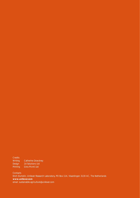**Credits** Writing Catherine Dowdney **Design Printing** 2d Solutions Ltd Gros Monti Ltd

**Contacts** Erich Dumelin, Unilever Research Laboratory, PO Box 114, Vlaardingen 3130 AC, The Netherlands **www.unilever.com**  email: sustainable.agriculture@unilever.com